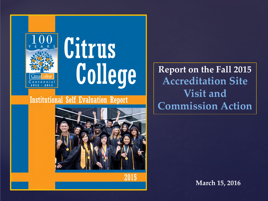



2015

**Report on the Fall 2015 Accreditation Site Visit and Commission Action**

**March 15, 2016**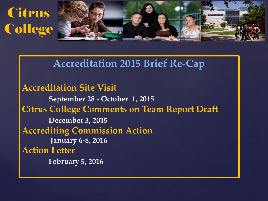# **Citrus College**

i



#### **Accreditation 2015 Brief Re-Cap**

**Accreditation Site Visit September 28 - October 1, 2015 Citrus College Comments on Team Report Draft December 3, 2015 Accrediting Commission Action January 6-8, 2016 Action Letter February 5, 2016**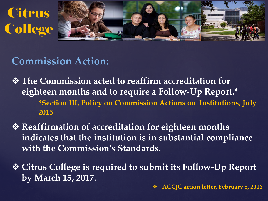



## **Commission Action:**

- **<sup>◆</sup> The Commission acted to reaffirm accreditation for eighteen months and to require a Follow-Up Report.\* \*Section III, Policy on Commission Actions on Institutions, July 2015**
- **☆ Reaffirmation of accreditation for eighteen months indicates that the institution is in substantial compliance with the Commission's Standards.**
- **Citrus College is required to submit its Follow-Up Report by March 15, 2017.**

**ACCJC action letter, February 8, 2016**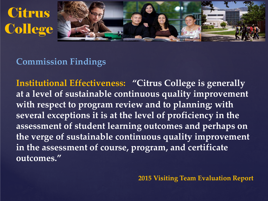



#### **Commission Findings**

**Institutional Effectiveness: "Citrus College is generally at a level of sustainable continuous quality improvement with respect to program review and to planning; with several exceptions it is at the level of proficiency in the assessment of student learning outcomes and perhaps on the verge of sustainable continuous quality improvement in the assessment of course, program, and certificate outcomes."**

**2015 Visiting Team Evaluation Report**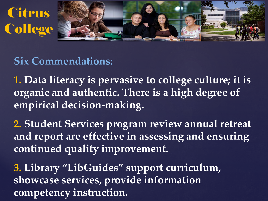



## **Six Commendations:**

**1. Data literacy is pervasive to college culture; it is organic and authentic. There is a high degree of empirical decision-making.**

**2. Student Services program review annual retreat and report are effective in assessing and ensuring continued quality improvement.**

**3. Library "LibGuides" support curriculum, showcase services, provide information competency instruction.**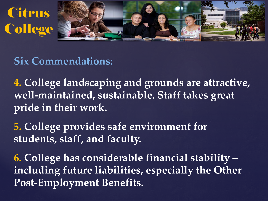



#### **Six Commendations:**

**4. College landscaping and grounds are attractive, well-maintained, sustainable. Staff takes great pride in their work.**

**5. College provides safe environment for students, staff, and faculty.** 

**6. College has considerable financial stability – including future liabilities, especially the Other Post-Employment Benefits.**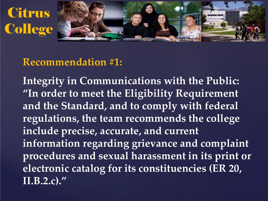



#### **Recommendation #1:**

**Integrity in Communications with the Public: "In order to meet the Eligibility Requirement and the Standard, and to comply with federal regulations, the team recommends the college include precise, accurate, and current information regarding grievance and complaint procedures and sexual harassment in its print or electronic catalog for its constituencies (ER 20, II.B.2.c)."**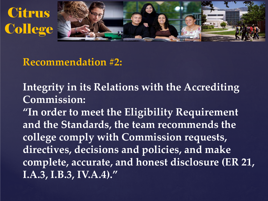



#### **Recommendation #2:**

**Integrity in its Relations with the Accrediting Commission:**

**"In order to meet the Eligibility Requirement and the Standards, the team recommends the college comply with Commission requests, directives, decisions and policies, and make complete, accurate, and honest disclosure (ER 21, I.A.3, I.B.3, IV.A.4)."**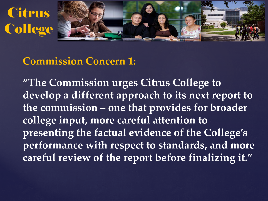



#### **Commission Concern 1:**

**"The Commission urges Citrus College to develop a different approach to its next report to the commission – one that provides for broader college input, more careful attention to presenting the factual evidence of the College's performance with respect to standards, and more careful review of the report before finalizing it."**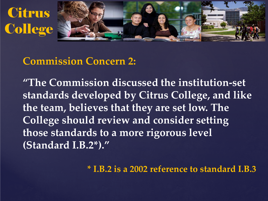



#### **Commission Concern 2:**

**"The Commission discussed the institution-set standards developed by Citrus College, and like the team, believes that they are set low. The College should review and consider setting those standards to a more rigorous level (Standard I.B.2\*)."**

**\* I.B.2 is a 2002 reference to standard I.B.3**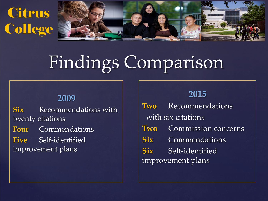



# Findings Comparison

#### **2009**

**Six** Recommendations with twenty citations **Four** Commendations **Five** Self-identified improvement plans

#### **2015**

**Two** Recommendations with six citations **Two** Commission concerns **Six** Commendations **Six** Self-identified improvement plans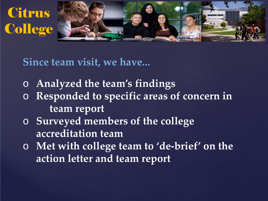



**Since team visit, we have...**

- o **Analyzed the team's findings**
- o **Responded to specific areas of concern in team report**
- o **Surveyed members of the college accreditation team**
- o **Met with college team to 'de-brief' on the action letter and team report**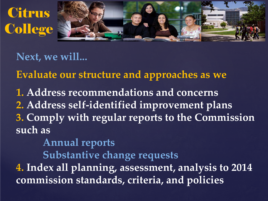



**Next, we will...**

**Evaluate our structure and approaches as we**

**1. Address recommendations and concerns 2. Address self-identified improvement plans 3. Comply with regular reports to the Commission such as**

**Annual reports**

**Substantive change requests**

**4. Index all planning, assessment, analysis to 2014 commission standards, criteria, and policies**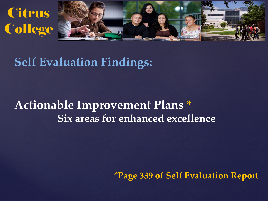



# **Self Evaluation Findings:**

# **Actionable Improvement Plans \* Six areas for enhanced excellence**

**\*Page 339 of Self Evaluation Report**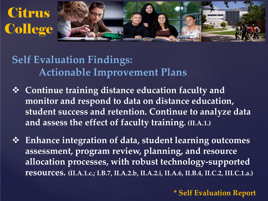



**Self Evaluation Findings: Actionable Improvement Plans** 

- **Continue training distance education faculty and monitor and respond to data on distance education, student success and retention. Continue to analyze data and assess the effect of faculty training. (II.A.1.)**
- **Enhance integration of data, student learning outcomes assessment, program review, planning, and resource allocation processes, with robust technology-supported resources. (II.A.1.c.; I.B.7, II.A.2.b, II.A.2.i, II.A.6, II.B.4, II.C.2, III.C.1.a.)**

**\* Self Evaluation Report**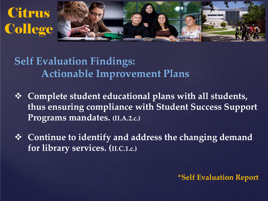



**Self Evaluation Findings: Actionable Improvement Plans** 

- **Complete student educational plans with all students, thus ensuring compliance with Student Success Support Programs mandates. (II.A.2.c.)**
- **Continue to identify and address the changing demand for library services. (II.C.1.c.)**

#### **\*Self Evaluation Report**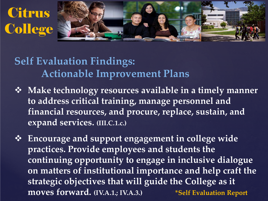



## **Self Evaluation Findings: Actionable Improvement Plans**

 **Make technology resources available in a timely manner to address critical training, manage personnel and financial resources, and procure, replace, sustain, and expand services. (III.C.1.c.)** 

 **Encourage and support engagement in college wide practices. Provide employees and students the continuing opportunity to engage in inclusive dialogue on matters of institutional importance and help craft the strategic objectives that will guide the College as it moves forward. (IV.A.1.; IV.A.3.) \*Self Evaluation Report**